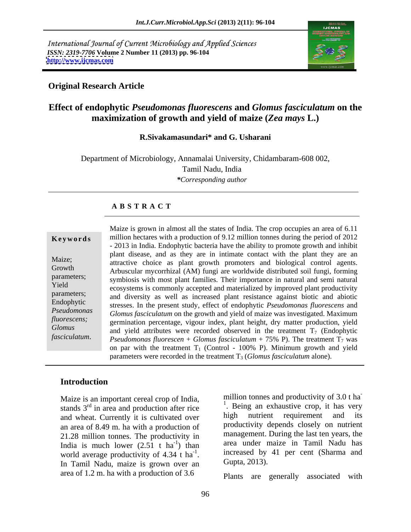International Journal of Current Microbiology and Applied Sciences *ISSN: 2319-7706* **Volume 2 Number 11 (2013) pp. 96-104 <http://www.ijcmas.com>**



## **Original Research Article**

## **Effect of endophytic** *Pseudomonas fluorescens* **and** *Glomus fasciculatum* **on the maximization of growth and yield of maize (***Zea mays* **L.)**

### **R.Sivakamasundari\* and G. Usharani**

Department of Microbiology, Annamalai University, Chidambaram-608 002, Tamil Nadu, India *\*Corresponding author* 

### **A B S T R A C T**

**Keywords** million hectares with a production of 9.12 million tonnes during the period of 2012 Maize;<br>
attractive choice as plant growth promoters and biological control agents. Growth Arbuscular mycorrhizal (AM) fungi are worldwide distributed soil fungi, forming parameters; symbiosis with most plant families. Their importance in natural and semi natural Yield ecosystems is commonly accepted and materialized by improved plant productivity parameters; and diversity as well as increased plant resistance against biotic and abiotic Endophytic stresses. In the present study, effect of endophytic *Pseudomonas fluorescens* and *Pseudomonas Glomus fasciculatum* on the growth and yield of maize was investigated. Maximum *fluorescens;*<br>
germination percentage, vigour index, plant height, dry matter production, yield *Glomus* and yield attributes were recorded observed in the treatment T<sub>7</sub> (Endophytic *Fact in almost all the states of India.* The crop occupies an area of 6.11<br> **Keywords**<br>
million hectares with a production of 9.12 million tonnes during the period of 2012<br>
- 2013 in India. Endophytic bacteria have the ab - 2013 in India. Endophytic bacteria have the ability to promote growth and inhibit plant disease, and as they are in intimate contact with the plant they are an *Pseudomonas fluorescen* + *Glomus fasciculatum* + 75% P). The treatment  $T_7$  was on par with the treatment  $T_1$  (Control - 100% P). Minimum growth and yield parameters were recorded in the treatment  $T_3$  (*Glomus fasciculatum* alone).

### **Introduction**

Maize is an important cereal crop of India, an area of 8.49 m. ha with a production of 21.28 million tonnes. The productivity in India is much lower  $(2.51 \text{ t} \text{ ha}^{-1})$  than world average productivity of 4.34 t ha<sup>-1</sup>. world average productivity of 4.34 t ha<sup>-1</sup>. Increased by 41 per cent (Sharma and In Tamil Nadu, maize is grown over an  $Gupta$ , 2013). area of 1.2 m. ha with a production of 3.6

stands  $3<sup>rd</sup>$  in area and production after rice  $\frac{1}{2}$ . Being an exhaustive crop, it has very and wheat. Currently it is cultivated over high nutrient requirement and its -1 ) than area under maize in Tamil Nadu has -1 increased by 41 per cent (Sharma and million tonnes and productivity of 3.0 t ha **-** Construction of the construction <sup>1</sup>. Being an exhaustive crop, it has very nutrient requirement and productivity depends closely on nutrient management. During the last ten years, the Gupta, 2013).

Plants are generally associated with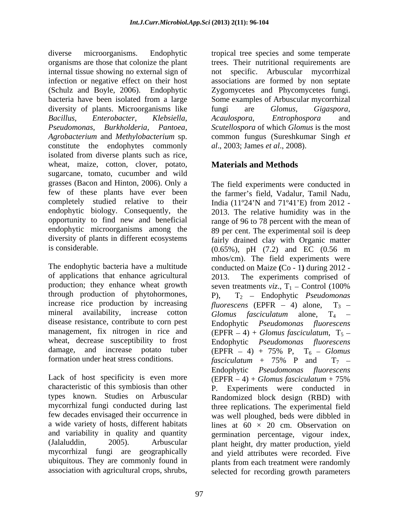diverse microorganisms. Endophytic tropical tree species and some temperate organisms are those that colonize the plant trees. Their nutritional requirements are internal tissue showing no external sign of not specific. Arbuscular mycorrhizal infection or negative effect on their host associations are formed by non septate (Schulz and Boyle, 2006). Endophytic Zygomycetes and Phycomycetes fungi. bacteria have been isolated from a large Some examples of Arbuscular mycorrhizal diversity of plants. Microorganisms like fungi are *Glomus*, *Gigaspora*, *Bacillus, Enterobacter, Klebsiella, Pseudomonas, Burkholderia, Pantoea, Scutellospora* of which *Glomus* is the most *Agrobacterium* and *Methylobacterium* sp. common fungus (Sureshkumar Singh *et*  constitute the endophytes commonly isolated from diverse plants such as rice, wheat, maize, cotton, clover, potato, **Materials and Methods** sugarcane, tomato, cucumber and wild grasses (Bacon and Hinton, 2006). Only a few of these plants have ever been completely studied relative to their India (11°24'N and 71°41'E) from 2012 is considerable.  $(0.65\%)$ , pH  $(7.2)$  and EC  $(0.56 \text{ m})$ 

of applications that enhance agricultural production; they enhance wheat growth seven treatments  $viz, T_1$  – Control (100%) through production of phytohormones, mineral availability, increase cotton  $G$ lomus fasciculatum alone,  $T_4$  – wheat, decrease susceptibility to frost damage, and increase potato tuber (EPFR – 4) + 75% P,  $T_6$  – Glomus

Lack of host specificity is even more  $(EPFR - 4) + Glomus$  fasciculatum + 75% and variability in quality and quantity

fungi are *Glomus*, *Gigaspora*, *Acaulospora*, *Entrophospora* and *al*., 2003; James *et al*., 2008).

## **Materials and Methods**

endophytic biology. Consequently, the 2013. The relative humidity was in the opportunity to find new and beneficial range of 96 to 78 percent with the mean of endophytic microorganisms among the 89 per cent. The experimental soil is deep diversity of plants in different ecosystems fairly drained clay with Organic matter The endophytic bacteria have a multitude conducted on Maize **(**Co - 1**)** during 2012 increase rice production by increasing  $fluorescens$  (EPFR  $-$  4) alone,  $T_3$  – disease resistance, contribute to corn pest Endophytic *Pseudomonas fluorescens* management, fix nitrogen in rice and  $(EPFR - 4) + Glomus fasciculatum$ ,  $T_5$ formation under heat stress conditions.  $\int \frac{1}{\sqrt{1 - \frac{1}{n}}}}$  and  $T_7$  characteristic of this symbiosis than other P. Experiments were conducted in types known. Studies on Arbuscular Randomized block design (RBD) with mycorrhizal fungi conducted during last three replications. The experimental field few decades envisaged their occurrence in was well ploughed, beds were dibbled in a wide variety of hosts, different habitats lines at  $60 \times 20$  cm. Observation on (Jalaluddin, 2005). Arbuscular plant height, dry matter production, yield mycorrhizal fungi are geographically and yield attributes were recorded. Five ubiquitous. They are commonly found in plants from each treatment were randomly association with agricultural crops, shrubs, selected for recording growth parametersThe field experiments were conducted in the farmer's field, Vadalur, Tamil Nadu, India (11º24 N and 71º41 E) from 2012 - (0.65%), pH (7.2) and EC (0.56 m mhos/cm). The field experiments were The experiments comprised of seven treatments *viz.*,  $T_1$  – Control (100%) P), T2 Endophytic *Pseudomonas Glomus fasciculatum* alone, T<sub>4</sub> – Endophytic *Pseudomonas fluorescens*  $(EPFR - 4) + 75\%$  P,  $T_6 - Glomus$ *fasciculatum* + 75% P and  $T_7$  – Endophytic *Pseudomonas fluorescens* (EPFR 4) + *Glomus fasciculatum* + 75% germination percentage, vigour index,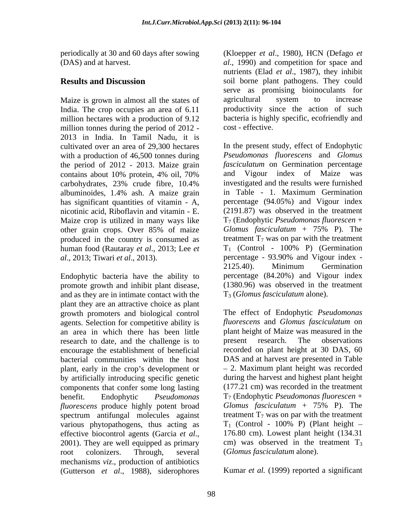Maize is grown in almost all the states of agricultural system to increase India. The crop occupies an area of 6.11 million tonnes during the period of 2012 - 2013 in India. In Tamil Nadu, it is with a production of 46,500 tonnes during the period of 2012 - 2013. Maize grain *fasciculatum* on Germinatio contains about 10% protein. 4% oil. 70% and Vigour index of has significant quantities of vitamin - A, nicotinic acid, Riboflavin and vitamin - E. Maize crop is utilized in many ways like produced in the country is consumed as treatment  $T_7$  was on par with the treatment<br>human food (Rautarav *et al.*, 2013; Lee *et*  $T_1$  (Control - 100% P) (Germination human food (Rautaray *et al*., 2013; Lee *et* 

Endophytic bacteria have the ability to promote growth and inhibit plant disease, and as they are in intimate contact with the plant they are an attractive choice as plant growth promoters and biological control agents. Selection for competitive ability is an area in which there has been little plant height of Maize was n<br>research to date and the challenge is to present research. The research to date, and the challenge is to present research. The observations encourage the establishment of beneficial plant, early in the crop's development or by artificially introducing specific genetic components that confer some long lasting *fluorescens* produce highly potent broad Glomus fasciculatum + 75% P). The spectrum antifungal molecules against treatment  $T_7$  was on par with the treatment various phytopathogens, thus acting as  $T_1$  (Control - 100% P) (Plant height – various phytopathogens, thus acting as root colonizers. Through, several (*Glomus fasciculatum* alone). mechanisms *viz*., production of antibiotics (Gutterson *et al*., 1988), siderophores

periodically at 30 and 60 days after sowing (Kloepper *et al.*, 1980), HCN (Defago *et* (DAS) and at harvest. *al*., 1990) and competition for space and **Results and Discussion** soil borne plant pathogens. They could million hectares with a production of 9.12 bacteria is highly specific, ecofriendly and nutrients (Elad *et al.*, 1987), they inhibit serve as promising bioinoculants for agricultural system to increase productivity since the action of such cost - effective.

cultivated over an area of 29,300 hectares In the present study, effect of Endophytic contains about 10% protein, 4% oil, 70% carbohydrates, 23% crude fibre, 10.4% albuminoides, 1.4% ash. A maize grain other grain crops. Over 85% of maize Glomus fasciculatum + 75% P). The *al*., 2013; Tiwari *et al*., 2013). percentage - 93.90% and Vigour index - *Pseudomonas fluorescens* and *Glomus fasciculatum* on Germination percentage and Vigour index of Maize was investigated and the results were furnished in Table - 1. Maximum Germination percentage (94.05%) and Vigour index (2191.87) was observed in the treatment T7 (Endophytic *Pseudomonas fluorescen* + *Glomus fasciculatum* + 75% P). The treatment  $T_7$  was on par with the treatment T1 (Control - 100% P) (Germination 2125.40). Minimum Germination percentage (84.20%) and Vigour index (1380.96) was observed in the treatment T3 (*Glomus fasciculatum* alone).

bacterial communities within the host DAS and at harvest are presented in Table benefit. Endophytic *Pseudomonas*  T7 (Endophytic *Pseudomonas fluorescen* + effective biocontrol agents (Garcia *et al.*, 176.80 cm). Lowest plant height (134.31 2001). They are well equipped as primary cm) was observed in the treatment T<sub>3</sub> The effect of Endophytic *Pseudomonas fluorescens* and *Glomus fasciculatum* on plant height of Maize was measured in the present research. The observations recorded on plant height at 30 DAS, 60 2. Maximum plant height was recorded during the harvest and highest plant height (177.21 cm) was recorded in the treatment *Glomus fasciculatum* + 75% P). The treatment  $T_7$  was on par with the treatment  $T_1$  (Control - 100% P) (Plant height  $-$ 176.80 cm). Lowest plant height (134.31 cm) was observed in the treatment  $T_3$ 

Kumar *et al.* (1999) reported a significant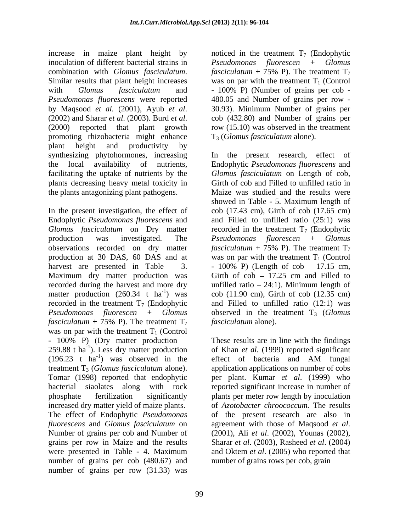increase in maize plant height by noticed in the treatment  $T_7$  (Endophytic inoculation of different bacterial strains in *Pseudomonas fluorescen* + *Glomus*  combination with *Glomus fasciculatum*.  $fascicularum + 75\% \text{ P}$ . The treatment  $T_7$ <br>Similar results that plant height increases was on par with the treatment  $T_1$  (Control with *Glomus fasciculatum* and - 100% P (Number of grains per cob -*Pseudomonas fluorescens* were reported by Maqsood *et al.* (2001), Ayub *et al.* 30.93). Minimum Number of grains per (2002) and Sharar *et al.* (2003). Burd *et al.* (2006) and Number of grains per (2000) reported that plant growth row (15.10) was observed in promoting rhizobacteria might enhance plant height and productivity by synthesizing phytohormones, increasing In the present research, effect of the local availability of nutrients, Endophytic *Pseudomonas fluorescens* and facilitating the uptake of nutrients by the *Glomus fasciculatum* on Length of cob, plants decreasing heavy metal toxicity in the plants antagonizing plant pathogens. Maize was studied and the results were

In the present investigation, the effect of cob (17.43 cm), Girth of cob (17.65 cm) Endophytic *Pseudomonas fluorescens* and and Filled to unfilled ratio (25:1) was  $G$ *lomus fasciculatum* on Dry matter recorded in the treatment  $T_7$  (Endophytic production was investigated. The *Pseudomonas fluorescen* + *Glomus*  observations recorded on dry matter  $fascicularum + 75\% P$ ). The treatment  $T_7$ production at 30 DAS, 60 DAS and at was on par with the treatment  $T_1$  (Control harvest are presented in Table – 3.  $-100\%$  P) (Length of  $\cosh$  – 17.15 cm,<br>Maximum dry matter production was Girth of  $\cosh$  – 17.25 cm and Filled to recorded during the harvest and more dry unfilled ratio 24:1). Minimum length of matter production  $(260.34 \text{ t} \text{ ha}^{-1})$  was recorded in the treatment  $T_7$  (Endophytic and Filled to unfilled ratio (12:1) was *Pseudomonas fluorescen* + *Glomus* observed in the treatment T<sub>3</sub> (*Glomus fasciculatum* + 75% P). The treatment  $T_7$  *fasciculatum* alone). was on par with the treatment  $T_1$  (Control - 100% P) (Dry matter production – These results are in line with the findings 259.88 t ha -1 ). Less dry matter production of Khan *et al*. (1999) reported significant  $(196.23 \text{ t} \text{ ha}^{-1})$  was observed in the treatment T<sub>3</sub> (*Glomus fasciculatum* alone). application applications on number of cobs Tomar (1998) reported that endophytic bacterial siaolates along with rock reported significant increase in number of phosphate fertilization significantly plants per meter row length by inoculation increased dry matter yield of maize plants. of *Azotobacter chroococcum.* The results The effect of Endophytic *Pseudomonas fluorescens* and *Glomus fasciculatum* on Number of grains per cob and Number of (2001), Ali et al. (2002), Younas (2002), grains per row in Maize and the results Sharar *et al*. (2003), Rasheed *et al*. (2004) were presented in Table - 4. Maximum and Oktem *et al.* (2005) who reported that number of grains per cob (480.67) and number of grains per row (31.33) was

*fasciculatum* + 75% P). The treatment  $T_7$ was on par with the treatment  $T_1$  (Control - 100% P) (Number of grains per cob - 480.05 and Number of grains per row - 30.93). Minimum Number of grains per cob (432.80) and Number of grains per row (15.10) was observed in the treatment T3 (*Glomus fasciculatum* alone).

 $^{1}$ ) was cob (11.90 cm), Girth of cob (12.35 cm) Girth of cob and Filled to unfilled ratio in showed in Table - 5. Maximum length of *fasciculatum* + 75% P). The treatment  $T_7$  $-100\%$  P) (Length of cob  $-17.15$  cm, Girth of  $\cosh - 17.25$  cm and Filled to *fasciculatum* alone).

<sup>-1</sup>) was observed in the effect of bacteria and AM fungal effect of bacteria and AM fungal per plant. Kumar *et al*. (1999) who of the present research are also in agreement with those of Maqsood *et al*.<br>(2001), Ali *et al.* (2002), Younas (2002), and Oktem *et al*. (2005) who reported that number of grains rows per cob, grain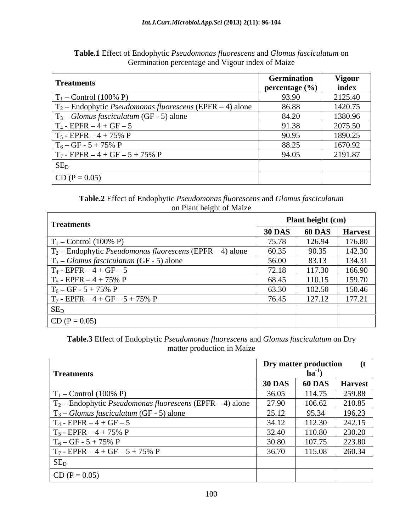| <b>Treatments</b>                                                  | <b>Germination</b> | <b>Vigour</b> |
|--------------------------------------------------------------------|--------------------|---------------|
|                                                                    | percentage $(\% )$ | index         |
| $T_1$ – Control (100% P)                                           | 93.90              | 2125.40       |
| $T_2$ – Endophytic <i>Pseudomonas fluorescens</i> (EPFR – 4) alone | 86.88              | 1420.75       |
| $T_3$ – Glomus fasciculatum (GF - 5) alone                         | 84.20              | 1380.96       |
| $T_4$ - EPFR $-4$ + GF $-5$                                        | 91.38              | 2075.50       |
| $T_5$ - EPFR $-4 + 75\%$ P                                         | 90.95              | 1890.25       |
| $T_6 - GF - 5 + 75\% P$                                            | 88.25              | 1670.92       |
| $T_7$ - EPFR $-4$ + GF $-5$ + 75% P                                | 94.05              | 2191.87       |
| $SE_D$                                                             |                    |               |
| $CD (P = 0.05)$                                                    |                    |               |

**Table.1** Effect of Endophytic *Pseudomonas fluorescens* and *Glomus fasciculatum* on Germination percentage and Vigour index of Maize

**Table.2** Effect of Endophytic *Pseudomonas fluorescens* and *Glomus fasciculatum* on Plant height of Maize

| Treatments                                                         | Plant height (cm) |               |                |  |
|--------------------------------------------------------------------|-------------------|---------------|----------------|--|
|                                                                    | <b>30 DAS</b>     | <b>60 DAS</b> | <b>Harvest</b> |  |
| $T_1$ – Control (100% P)                                           | 75.78             | 126.94        | 176.80         |  |
| $T_2$ – Endophytic <i>Pseudomonas fluorescens</i> (EPFR – 4) alone | 60.35             | 90.35         | 142.30         |  |
| $T_3$ – Glomus fasciculatum (GF - 5) alone                         | 56.00             | 83.13         | 134.31         |  |
| $T_4$ - EPFR $-4$ + GF $-5$                                        | 72.18             | 117.30        | 166.90         |  |
| $T_5 - EPFR - 4 + 75\% P$                                          | 68.45             | 110.15        | 159.70         |  |
| $T_6 - GF - 5 + 75\% \text{ P}$                                    | 63.30             | 102.50        | 150.46         |  |
| $T_7$ - EPFR $-4$ + GF $-5$ + 75% P                                | 76.45             | 127.12        | 177.21         |  |
| SE <sub>D</sub>                                                    |                   |               |                |  |
| $CD (P = 0.05)$                                                    |                   |               |                |  |

**Table.3** Effect of Endophytic *Pseudomonas fluorescens* and *Glomus fasciculatum* on Dry matter production in Maize

| Treatments                                                         | <b>Dry matter production</b><br>ha <sup>-</sup> |               |                |  |
|--------------------------------------------------------------------|-------------------------------------------------|---------------|----------------|--|
|                                                                    | <b>30 DAS</b>                                   | <b>60 DAS</b> | <b>Harvest</b> |  |
| $T_1$ – Control (100% P)                                           | 36.05                                           | 114.75        | 259.88         |  |
| $T_2$ – Endophytic <i>Pseudomonas fluorescens</i> (EPFR – 4) alone | 27.90                                           | 106.62        | 210.85         |  |
| $T_3$ – Glomus fasciculatum (GF - 5) alone                         | 25.12                                           | 95.34         | 196.23         |  |
| $T_4$ - EPFR $-4$ + GF $-5$                                        | 34.12                                           | 112.30        | 242.15         |  |
| $T_5$ - EPFR $-4 + 75%$ P                                          | 32.40                                           | 110.80        | 230.20         |  |
| $T_6 - GF - 5 + 75\% \text{ P}$                                    | 30.80                                           | 107.75        | 223.80         |  |
| $T_7$ - EPFR – 4 + GF – 5 + 75% P                                  | 36.70                                           | 115.08        | 260.34         |  |
| $SE_D$                                                             |                                                 |               |                |  |
| $CD (P = 0.05)$                                                    |                                                 |               |                |  |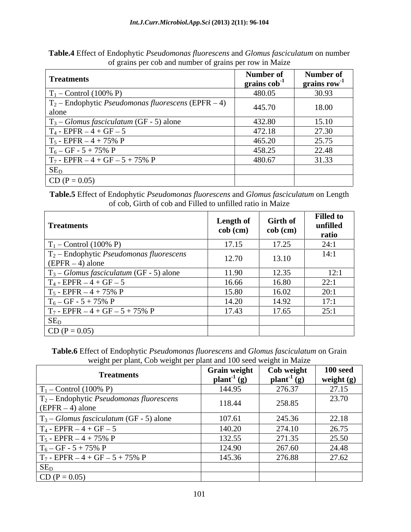**Table.4** Effect of Endophytic *Pseudomonas fluorescens* and *Glomus fasciculatum* on number of grains per cob and number of grains per row in Maize

| <b>Treatments</b>                                                     | Number of<br>grains cob | Number of<br>grains row |
|-----------------------------------------------------------------------|-------------------------|-------------------------|
| $T_1$ – Control (100% P)                                              | 480.05                  | 30.93                   |
| $T_2$ – Endophytic <i>Pseudomonas fluorescens</i> (EPFR – 4)<br>alone | 445.70                  | 18.00                   |
| $T_3$ – <i>Glomus fasciculatum</i> (GF - 5) alone                     | 432.80                  | 15.10                   |
| $T_4$ - EPFR $-4 + GF - 5$                                            | 472.18                  | 27.30                   |
| $T_5$ - EPFR $-4 + 75\%$ P                                            | 465.20                  | 25.75                   |
| $T_6 - GF - 5 + 75\% \text{ P}$                                       | 458.25                  | 22.48                   |
| $T_7$ - EPFR $-4$ + GF $-5$ + 75% P                                   | 480.67                  | 31.33                   |
| SE <sub>D</sub>                                                       |                         |                         |
| $CD (P = 0.05)$                                                       |                         |                         |

**Table.5** Effect of Endophytic *Pseudomonas fluorescens* and *Glomus fasciculatum* on Length of cob, Girth of cob and Filled to unfilled ratio in Maize

| <b>Treatments</b>                                                        | <b>Length of</b><br>cob (cm) | <b>Girth of</b><br>$\cosh$ (cm) | <b>Filled to</b><br>unfilled<br>ratio |
|--------------------------------------------------------------------------|------------------------------|---------------------------------|---------------------------------------|
| $T_1$ – Control (100% P)                                                 | 17.15                        | 17.25                           | 24:1                                  |
| $T_2$ – Endophytic Pseudomonas fluorescens<br>$\left($ EPFR $-4$ ) alone | 12.70                        | 13.10                           | 14:1                                  |
| $T_3$ – Glomus fasciculatum (GF - 5) alone                               | 11.90                        | 12.35                           | 12:1                                  |
| $T_4$ - EPFR $-4$ + GF $-5$                                              | 16.66                        | 16.80                           | 22:1                                  |
| $T_5$ - EPFR $-4 + 75\%$ P                                               | 15.80                        | 16.02                           | 20:1                                  |
| $T_6 - GF - 5 + 75\% P$                                                  | 14.20                        | 14.92                           | 17:1                                  |
| $T_7 - EPFR - 4 + GF - 5 + 75\% P$                                       | 17.43                        | 17.65                           | 25:1                                  |
| $SE_D$                                                                   |                              |                                 |                                       |
| $CD (P = 0.05)$                                                          |                              |                                 |                                       |

**Table.6** Effect of Endophytic *Pseudomonas fluorescens* and *Glomus fasciculatum* on Grain weight per plant, Cob weight per plant and 100 seed weight in Maize

| <u>. </u><br><b>Treatments</b>                                                  | <b>Grain weight</b>               | Cob weight                        | $100$ seed   |
|---------------------------------------------------------------------------------|-----------------------------------|-----------------------------------|--------------|
|                                                                                 | $\mathbf{plant}^{-1}(\mathbf{g})$ | $\mathbf{plant}^{-1}(\mathbf{g})$ | weight $(g)$ |
| $T_1$ – Control (100% P)                                                        | 144.95                            | 276.37                            | 27.15        |
| $T_2$ – Endophytic <i>Pseudomonas fluorescens</i><br>$\vert$ (EPFR $-4$ ) alone | 118.44                            | 258.85                            | 23.70        |
| $\mid$ T <sub>3</sub> – <i>Glomus fasciculatum</i> (GF - 5) alone               | 107.61                            | 245.36                            | 22.18        |
| $T_4$ - EPFR $-4$ + GF $-5$                                                     | 140.20                            | 274.10                            | 26.75        |
| $T_5$ - EPFR $-4 + 75\%$ P                                                      | 132.55                            | 271.35                            | 25.50        |
| $T_6 - GF - 5 + 75\% \text{ P}$                                                 | 124.90                            | 267.60                            | 24.48        |
| $T_7$ - EPFR $-4$ + GF $-5$ + 75% P                                             | 145.36                            | 276.88                            | 27.62        |
| $SE_D$                                                                          |                                   |                                   |              |
| $CD (P = 0.05)$                                                                 |                                   |                                   |              |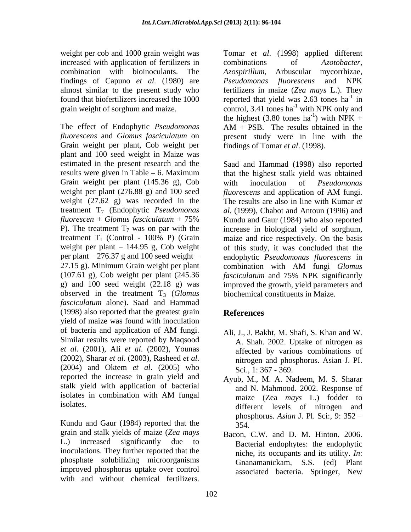increased with application of fertilizers in combinations of *Azotobacter*, combination with bioinoculants. The *Azospirillum*, Arbuscular mycorrhizae, findings of Capuno *et al.* (1980) are

The effect of Endophytic *Pseudomonas fluorescens* and *Glomus fasciculatum* on present study were in line with the Grain weight per plant, Cob weight per plant and 100 seed weight in Maize was Grain weight per plant (145.36 g), Cob with inoculation of *Pseudomonas* weight per plant (276.88 g) and 100 seed *fluorescens* and application of AM fungi. treatment  $T_1$  (Control - 100% P) (Grain 27.15 g). Minimum Grain weight per plant combination with AM fungi Glomus observed in the treatment T<sub>3</sub> (*Glomus fasciculatum* alone). Saad and Hammad (1998) also reported that the greatest grain References yield of maize was found with inoculation of bacteria and application of AM fungi. Ali, J., J. Bakht, M. Shafi, S. Khan and W. Similar results were reported by Maqsood *et al*. (2001), Ali *et al*. (2002), Younas (2002), Sharar *et al*. (2003), Rasheed *et al*. (2004) and Oktem *et al*. (2005) who reported the increase in grain yield and stalk yield with application of bacterial isolates in combination with AM fungal maize (Zea mays L.) folder to

Kundu and Gaur (1984) reported that the  $\frac{1}{354}$ grain and stalk yields of maize (*Zea mays* L.) increased significantly due to Bacterial endophytes: the endophytic inoculations. They further reported that the phosphate solubilizing microorganisms improved phosphorus uptake over control with and without chemical fertilizers.

weight per cob and 1000 grain weight was Tomar *et al*. (1998) applied different almost similar to the present study who fertilizers in maize (*Zea mays* L.). They found that biofertilizers increased the 1000 reported that yield was 2.63 tones ha<sup>-1</sup> in grain weight of sorghum and maize. control, 3.41 tones ha<sup>-1</sup> with NPK only and combinations of *Azotobacter, Azospirillum*, Arbuscular mycorrhizae, *Pseudomonas fluorescens* and NPK  $-1$  in in the highest (3.80 tones ha<sup>-1</sup>) with NPK +  $-1$  with NDV ) with  $NPK +$ AM + PSB. The results obtained in the findings of Tomar *et al*. (1998).

estimated in the present research and the Saad and Hammad (1998) also reported results were given in Table – 6. Maximum that the highest stalk yield was obtained weight (27.62 g) was recorded in the The results are also in line with Kumar *et* treatment T7 (Endophytic *Pseudomonas al.* (1999), Chabot and Antoun (1996) and *fluorescen* + *Glomus fasciculatum* + 75% P). The treatment  $T_7$  was on par with the increase in biological yield of sorghum, weight per plant – 144.95 g, Cob weight of this study, it was concluded that the per plant 276.37 g and 100 seed weight endophytic *Pseudomonas fluorescens* in (107.61 g), Cob weight per plant (245.36 *fasciculatum* and 75% NPK significantly g) and 100 seed weight (22.18 g) was improved the growth, yield parameters and with inoculation of *Pseudomonas fluorescens* and application of AM fungi. Kundu and Gaur (1984) who also reported maize and rice respectively. On the basis combination with AM fungi *Glomus*  biochemical constituents in Maize.

# **References**

- Ali, J., J. Bakht, M. Shafi, S. Khan and W. A. Shah. 2002. Uptake of nitrogen as affected by various combinations of nitrogen and phosphorus. Asian J. PI. Sci., 1: 367 - 369.
- isolates.  $\qquad \qquad$  different levels of nitrogen and Ayub, M., M. A. Nadeem, M. S. Sharar and N. Mahmood. 2002. Response of maize (Zea *mays* L.) fodder to phosphorus. *Asian* J. Pl. Sci:, 9: 352 354.
	- Bacon, C.W. and D. M. Hinton. 2006. niche, its occupants and its utility. *In*: Gnanamanickam, S.S. (ed) Plant associated bacteria. Springer, New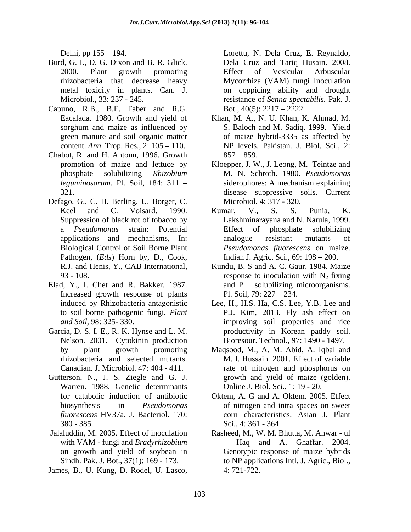- Burd, G. I., D. G. Dixon and B. R. Glick. Dela Cruz and Tariq Husain. 2008.
- Capuno, R.B., B.E. Faber and R.G. content. *Ann*. Trop. Res., 2: 105 – 110.
- Chabot, R. and H. Antoun, 1996. Growth
- Defago, G., C. H. Berling, U. Borger, C. Pathogen, (*Eds*) Horn by, D., Cook, Dentisties (1918) 154. 11 The Cruz, Reynaldo, Denta Cruz, Reynaldo, Pinal (2000) Pinal general arbuscular and the Cruz and Tariq Husain. N. Dela Cruz, R. Reynaldo, Denta Cruz and Tariq Husain. 1992. 221-23. Also, Can J. H
- Elad, Y., I. Chet and R. Bakker. 1987. Increased growth response of plants to soil borne pathogenic fungi. Plant
- Garcia, D. S. I. E., R. K. Hynse and L. M. Nelson. 2001. Cytokinin production
- Gutterson, N., J. S. Ziegle and G. J. Warren. 1988. Genetic determinants *fluorescens* HV37a. J. Bacteriol. 170:
- on growth and yield of soybean in
- 

Delhi, pp 155 – 194. Corettu, N. Dela Cruz, E. Reynaldo, 2000. Plant growth promoting rhizobacteria that decrease heavy Mycorrhiza (VAM) fungi Inoculation metal toxicity in plants. Can. J. on coppicing ability and drought Microbiol., 33: 237 - 245. resistance of *Senna spectabilis.* Pak. J. Bot.,  $40(5)$ :  $2217 - 2222$ .

- Eacalada. 1980. Growth and yield of Khan, M. A., N. U. Khan, K. Ahmad, M. sorghum and maize as influenced by S. Baloch and M. Sadiq. 1999. Yield green manure and soil organic matter of maize hybrid-3335 as affected by NP levels. Pakistan. J. Biol. Sci., 2:  $857 - 859.$
- promotion of maize and lettuce by Kloepper, J. W., J. Leong, M. Teintze and phosphate solubilizing *Rhizobium*  M. N. Schroth. 1980. *Pseudomonas leguminosarum.* Pl. Soil, 184: 311 – siderophores: A mechanism explaining 321. disease suppressive soils. Current siderophores: A mechanism explaining Microbiol*.* 4: 317 - 320.
- Keel and C. Voisard. 1990. Kumar, V., S. S. Punia, K. Suppression of black rot of tobacco by Lakshminarayana and N. Narula, 1999. a *Pseudomonas* strain: Potential applications and mechanisms, In: Biological Control of Soil Borne Plant *Pseudomonas fluorescens* on maize. Kumar, V., S. S. Punia, K. Effect of phosphate solubilizing analogue resistant mutants of Indian J. Agric. Sci., 69: 198 – 200.
- R.J. and Henis, Y., CAB International, Kundu, B. S and A. C. Gaur, 1984. Maize 93 - 108.  $\blacksquare$   $\blacksquare$   $\blacksquare$   $\blacksquare$   $\blacksquare$   $\blacksquare$   $\blacksquare$   $\blacksquare$   $\blacksquare$   $\blacksquare$   $\blacksquare$   $\blacksquare$   $\blacksquare$   $\blacksquare$   $\blacksquare$   $\blacksquare$   $\blacksquare$   $\blacksquare$   $\blacksquare$   $\blacksquare$   $\blacksquare$   $\blacksquare$   $\blacksquare$   $\blacksquare$   $\blacksquare$   $\blacksquare$   $\blacksquare$   $\blacksquare$   $\blacksquare$   $\blacksquare$  and  $P$  – solubilizing microorganisms. Pl. Soil,  $79: 227 - 234$ .
- induced by Rhizobacteria antagonistic Lee, H., H.S. Ha, C.S. Lee, Y.B. Lee and *and Soil,* 98: 325- 330. improving soil properties and rice P.J. Kim, 2013. Fly ash effect on productivity in Korean paddy soil. Bioresour. Technol., 97: 1490 - 1497.
- by plant growth promoting Maqsood, M., A. M. Abid, A. Iqbal and rhizobacteria and selected mutants. M. I. Hussain. 2001. Effect of variable Canadian. J. Microbiol. 47: 404 - 411. rate of nitrogen and phosphorus on growth and yield of maize (golden). Online J. Biol. Sci., 1: 19 - 20.
- for catabolic induction of antibiotic Oktem, A. G and A. Oktem. 2005. Effect biosynthesis in *Pseudomonas*  of nitrogen and intra spaces on sweet 380 - 385. corn characteristics. Asian J. Plant Sci.*,* 4: 361 - 364.
- Jalaluddin, M. 2005. Effect of inoculation Rasheed, M., W. M. Bhutta, M. Anwar ul with VAM - fungi and *Bradyrhizobium* - Haq and A. Ghaffar. 2004. Sindh. Pak. J. Bot., 37(1): 169 - 173. to NP applications Intl. J. Agric., Biol.,  $-$  Haq and A. Ghaffar. Genotypic response of maize hybrids 4: 721-722.